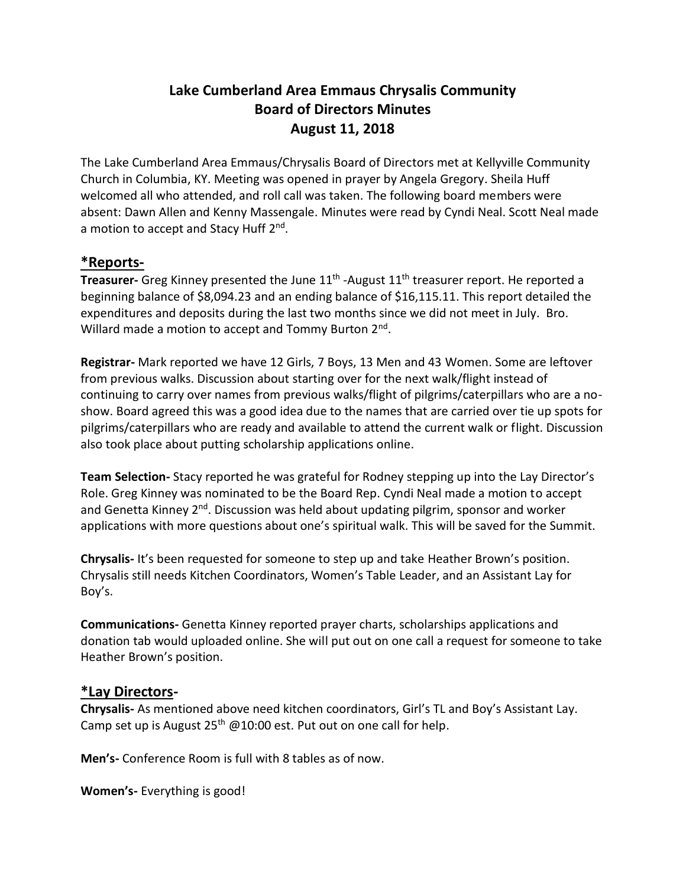# **Lake Cumberland Area Emmaus Chrysalis Community Board of Directors Minutes August 11, 2018**

The Lake Cumberland Area Emmaus/Chrysalis Board of Directors met at Kellyville Community Church in Columbia, KY. Meeting was opened in prayer by Angela Gregory. Sheila Huff welcomed all who attended, and roll call was taken. The following board members were absent: Dawn Allen and Kenny Massengale. Minutes were read by Cyndi Neal. Scott Neal made a motion to accept and Stacy Huff 2<sup>nd</sup>.

# **\*Reports-**

**Treasurer-** Greg Kinney presented the June 11<sup>th</sup> -August 11<sup>th</sup> treasurer report. He reported a beginning balance of \$8,094.23 and an ending balance of \$16,115.11. This report detailed the expenditures and deposits during the last two months since we did not meet in July. Bro. Willard made a motion to accept and Tommy Burton 2<sup>nd</sup>.

**Registrar-** Mark reported we have 12 Girls, 7 Boys, 13 Men and 43 Women. Some are leftover from previous walks. Discussion about starting over for the next walk/flight instead of continuing to carry over names from previous walks/flight of pilgrims/caterpillars who are a noshow. Board agreed this was a good idea due to the names that are carried over tie up spots for pilgrims/caterpillars who are ready and available to attend the current walk or flight. Discussion also took place about putting scholarship applications online.

**Team Selection-** Stacy reported he was grateful for Rodney stepping up into the Lay Director's Role. Greg Kinney was nominated to be the Board Rep. Cyndi Neal made a motion to accept and Genetta Kinney 2<sup>nd</sup>. Discussion was held about updating pilgrim, sponsor and worker applications with more questions about one's spiritual walk. This will be saved for the Summit.

**Chrysalis-** It's been requested for someone to step up and take Heather Brown's position. Chrysalis still needs Kitchen Coordinators, Women's Table Leader, and an Assistant Lay for Boy's.

**Communications-** Genetta Kinney reported prayer charts, scholarships applications and donation tab would uploaded online. She will put out on one call a request for someone to take Heather Brown's position.

# **\*Lay Directors-**

**Chrysalis-** As mentioned above need kitchen coordinators, Girl's TL and Boy's Assistant Lay. Camp set up is August  $25<sup>th</sup>$  @10:00 est. Put out on one call for help.

**Men's-** Conference Room is full with 8 tables as of now.

**Women's-** Everything is good!